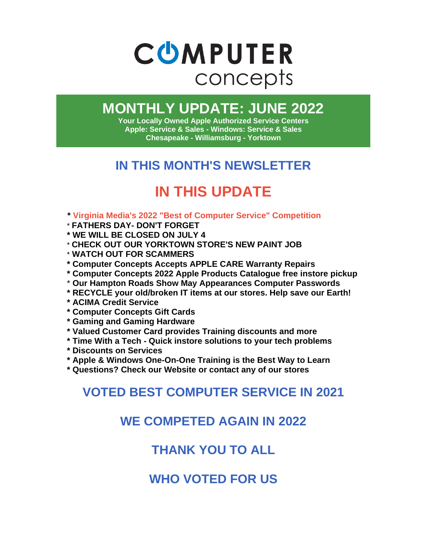

# **MONTHLY UPDATE: JUNE 2022**

**Your Locally Owned Apple Authorized Service Centers Apple: Service & Sales - Windows: Service & Sales Chesapeake - Williamsburg - Yorktown**

# **IN THIS MONTH'S NEWSLETTER**

# **IN THIS UPDATE**

- **\* Virginia Media's 2022 "Best of Computer Service" Competition**
- \* **FATHERS DAY- DON'T FORGET**
- **\* WE WILL BE CLOSED ON JULY 4**
- \* **CHECK OUT OUR YORKTOWN STORE'S NEW PAINT JOB**
- \* **WATCH OUT FOR SCAMMERS**
- **\* Computer Concepts Accepts APPLE CARE Warranty Repairs**
- **\* Computer Concepts 2022 Apple Products Catalogue free instore pickup**
- \* **Our Hampton Roads Show May Appearances Computer Passwords**
- **\* RECYCLE your old/broken IT items at our stores. Help save our Earth!**
- **\* ACIMA Credit Service**
- **\* Computer Concepts Gift Cards**
- **\* Gaming and Gaming Hardware**
- **\* Valued Customer Card provides Training discounts and more**
- **\* Time With a Tech - Quick instore solutions to your tech problems**
- **\* Discounts on Services**
- **\* Apple & Windows One-On-One Training is the Best Way to Learn**
- **\* Questions? Check our Website or contact any of our stores**

## **VOTED BEST COMPUTER SERVICE IN 2021**

## **WE COMPETED AGAIN IN 2022**

# **THANK YOU TO ALL**

**WHO VOTED FOR US**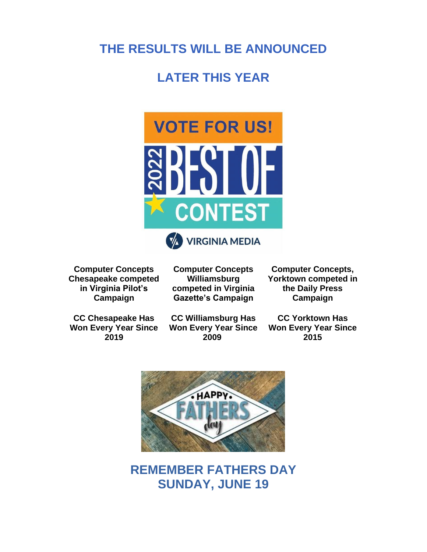## **THE RESULTS WILL BE ANNOUNCED**

#### **LATER THIS YEAR**



**Computer Concepts Chesapeake competed in Virginia Pilot's Campaign**

**CC Chesapeake Has Won Every Year Since 2019**

**Computer Concepts Williamsburg competed in Virginia Gazette's Campaign**

**CC Williamsburg Has** 

**2009**

**Computer Concepts, Yorktown competed in the Daily Press Campaign**

**Won Every Year Since CC Yorktown Has Won Every Year Since 2015**



**REMEMBER FATHERS DAY SUNDAY, JUNE 19**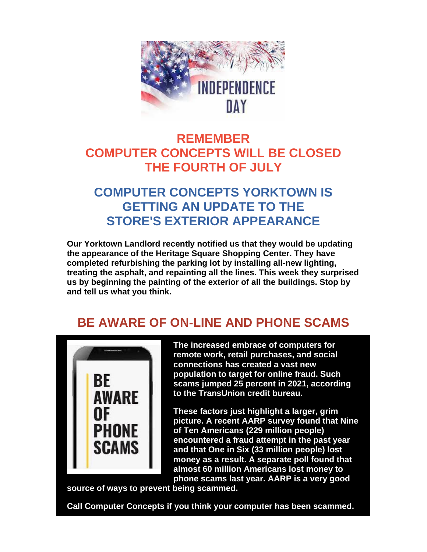

## **REMEMBER COMPUTER CONCEPTS WILL BE CLOSED THE FOURTH OF JULY**

## **COMPUTER CONCEPTS YORKTOWN IS GETTING AN UPDATE TO THE STORE'S EXTERIOR APPEARANCE**

**Our Yorktown Landlord recently notified us that they would be updating the appearance of the Heritage Square Shopping Center. They have completed refurbishing the parking lot by installing all-new lighting, treating the asphalt, and repainting all the lines. This week they surprised us by beginning the painting of the exterior of all the buildings. Stop by and tell us what you think.**

## **BE AWARE OF ON-LINE AND PHONE SCAMS**



**The increased embrace of computers for remote work, retail purchases, and social connections has created a vast new population to target for online fraud. Such scams jumped 25 percent in 2021, according to the TransUnion credit bureau.**

**These factors just highlight a larger, grim picture. A recent AARP survey found that Nine of Ten Americans (229 million people) encountered a fraud attempt in the past year and that One in Six (33 million people) lost money as a result. A separate poll found that almost 60 million Americans lost money to phone scams last year. AARP is a very good** 

**source of ways to prevent being scammed.**

**Call Computer Concepts if you think your computer has been scammed.**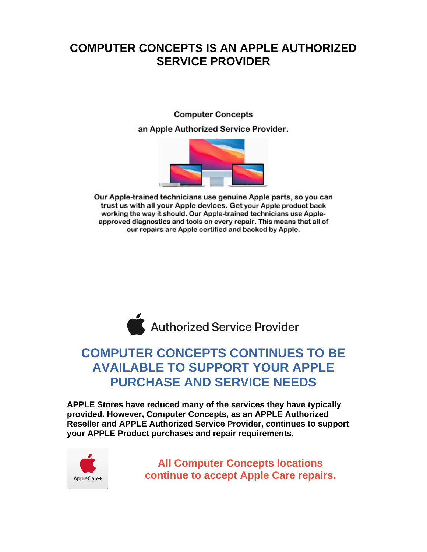#### **COMPUTER CONCEPTS IS AN APPLE AUTHORIZED SERVICE PROVIDER**

**Computer Concepts** an Apple Authorized Service Provider.



Our Apple-trained technicians use genuine Apple parts, so you can trust us with all your Apple devices. Get your Apple product back working the way it should. Our Apple-trained technicians use Appleapproved diagnostics and tools on every repair. This means that all of our repairs are Apple certified and backed by Apple.



### **COMPUTER CONCEPTS CONTINUES TO BE AVAILABLE TO SUPPORT YOUR APPLE PURCHASE AND SERVICE NEEDS**

**APPLE Stores have reduced many of the services they have typically provided. However, Computer Concepts, as an APPLE Authorized Reseller and APPLE Authorized Service Provider, continues to support your APPLE Product purchases and repair requirements.** 



**All Computer Concepts locations continue to accept Apple Care repairs.**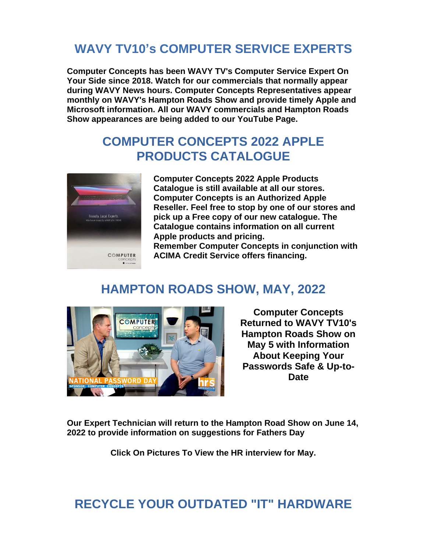## **WAVY TV10's COMPUTER SERVICE EXPERTS**

**Computer Concepts has been WAVY TV's Computer Service Expert On Your Side since 2018. Watch for our commercials that normally appear during WAVY News hours. Computer Concepts Representatives appear monthly on WAVY's Hampton Roads Show and provide timely Apple and Microsoft information. All our WAVY commercials and Hampton Roads Show appearances are being added to our YouTube Page.**

#### **COMPUTER CONCEPTS 2022 APPLE PRODUCTS CATALOGUE**



**Computer Concepts 2022 Apple Products Catalogue is still available at all our stores. Computer Concepts is an Authorized Apple Reseller. Feel free to stop by one of our stores and pick up a Free copy of our new catalogue. The Catalogue contains information on all current Apple products and pricing.**

**Remember Computer Concepts in conjunction with ACIMA Credit Service offers financing.**

#### **HAMPTON ROADS SHOW, MAY, 2022**



**Computer Concepts Returned to WAVY TV10's Hampton Roads Show on May 5 with Information About Keeping Your Passwords Safe & Up-to-Date**

**Our Expert Technician will return to the Hampton Road Show on June 14, 2022 to provide information on suggestions for Fathers Day**

**Click On Pictures To View the HR interview for May.**

## **RECYCLE YOUR OUTDATED "IT" HARDWARE**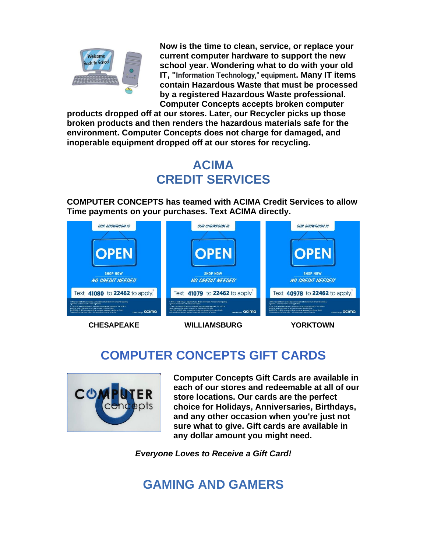

**Now is the time to clean, service, or replace your current computer hardware to support the new school year. Wondering what to do with your old IT, "Information Technology," equipment. Many IT items contain Hazardous Waste that must be processed by a registered Hazardous Waste professional. Computer Concepts accepts broken computer** 

**products dropped off at our stores. Later, our Recycler picks up those broken products and then renders the hazardous materials safe for the environment. Computer Concepts does not charge for damaged, and inoperable equipment dropped off at our stores for recycling.**

# **ACIMA CREDIT SERVICES**

**COMPUTER CONCEPTS has teamed with ACIMA Credit Services to allow Time payments on your purchases. Text ACIMA directly.**



**CHESAPEAKE WILLIAMSBURG YORKTOWN**

# **COMPUTER CONCEPTS GIFT CARDS**



**Computer Concepts Gift Cards are available in each of our stores and redeemable at all of our store locations. Our cards are the perfect choice for Holidays, Anniversaries, Birthdays, and any other occasion when you're just not sure what to give. Gift cards are available in any dollar amount you might need.**

*Everyone Loves to Receive a Gift Card!*

# **GAMING AND GAMERS**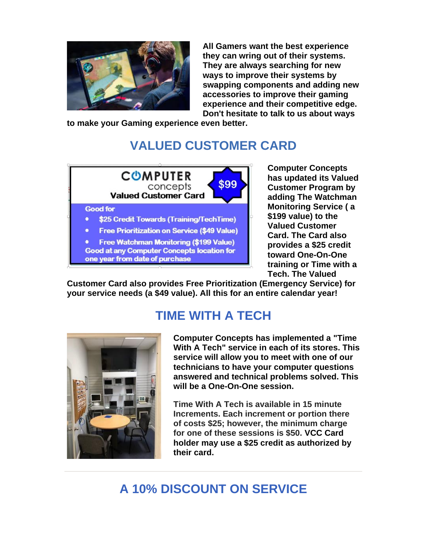

**All Gamers want the best experience they can wring out of their systems. They are always searching for new ways to improve their systems by swapping components and adding new accessories to improve their gaming experience and their competitive edge. Don't hesitate to talk to us about ways** 

**to make your Gaming experience even better.**

# **VALUED CUSTOMER CARD**



**Computer Concepts has updated its Valued Customer Program by adding The Watchman Monitoring Service ( a \$199 value) to the Valued Customer Card. The Card also provides a \$25 credit toward One-On-One training or Time with a Tech. The Valued** 

**Customer Card also provides Free Prioritization (Emergency Service) for your service needs (a \$49 value). All this for an entire calendar year!**

# **TIME WITH A TECH**



**Computer Concepts has implemented a "Time With A Tech" service in each of its stores. This service will allow you to meet with one of our technicians to have your computer questions answered and technical problems solved. This will be a One-On-One session.** 

**Time With A Tech is available in 15 minute Increments. Each increment or portion there of costs \$25; however, the minimum charge for one of these sessions is \$50. VCC Card holder may use a \$25 credit as authorized by their card.**

# **A 10% DISCOUNT ON SERVICE**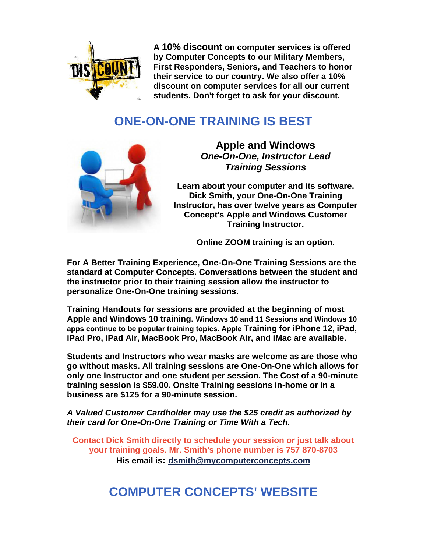

**A 10% discount on computer services is offered by Computer Concepts to our Military Members, First Responders, Seniors, and Teachers to honor their service to our country. We also offer a 10% discount on computer services for all our current students. Don't forget to ask for your discount.**

## **ONE-ON-ONE TRAINING IS BEST**



**Apple and Windows**  *One-On-One, Instructor Lead Training Sessions*

**Learn about your computer and its software. Dick Smith, your One-On-One Training Instructor, has over twelve years as Computer Concept's Apple and Windows Customer Training Instructor.**

**Online ZOOM training is an option.**

**For A Better Training Experience, One-On-One Training Sessions are the standard at Computer Concepts. Conversations between the student and the instructor prior to their training session allow the instructor to personalize One-On-One training sessions.** 

**Training Handouts for sessions are provided at the beginning of most Apple and Windows 10 training. Windows 10 and 11 Sessions and Windows 10 apps continue to be popular training topics. Apple Training for iPhone 12, iPad, iPad Pro, iPad Air, MacBook Pro, MacBook Air, and iMac are available.**

**Students and Instructors who wear masks are welcome as are those who go without masks. All training sessions are One-On-One which allows for only one Instructor and one student per session. The Cost of a 90-minute training session is \$59.00. Onsite Training sessions in-home or in a business are \$125 for a 90-minute session.** 

*A Valued Customer Cardholder may use the \$25 credit as authorized by their card for One-On-One Training or Time With a Tech.* 

**Contact Dick Smith directly to schedule your session or just talk about your training goals. Mr. Smith's phone number is 757 870-8703 His email is: [dsmith@mycomputerconcepts.com](mailto:dsmith@mycomputerconcepts.com)**

## **COMPUTER CONCEPTS' WEBSITE**